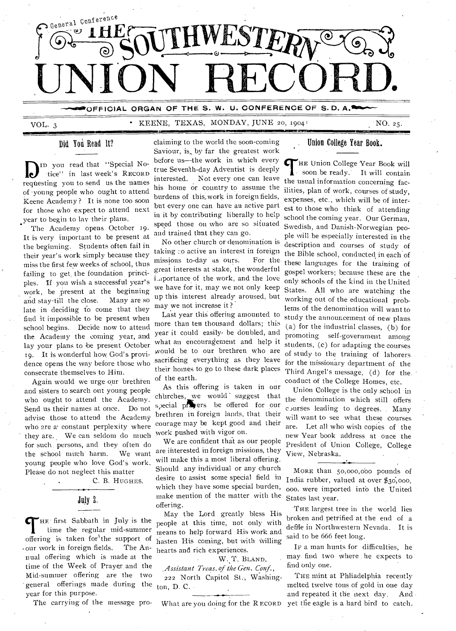

**DEFICIAL ORGAN OF THE S. W. U. CONFERENCE OF S.D. A.<sup>1</sup>11111000 F** 

VOL. 3 • KEENE, TEXAS, MONDAY, JUNE 20, 1904'

**MIS** 

NO. 25.

## Did You Read It?

DID you read that "Special No-<br>
requesting you to send us the names ID you read that "Special No- •tiee" in last week's RECORD of -young people who ought to attend Keene Academy ? It is none too soon for those who expect to attend next year to begin to lay their plans.

The Academy opens October 19. It is very important to be present at the beginning. Students often fail in their year's work simply because they miss the first few weeks of school, thus failing to get, the foundation principles. If you wish a successful year's work, be present at the beginning and stay till the close. Many are so late in deciding fo come that they find it impossible to be present when school begins. Decide now to attend the Academy the coming year, and lay your plans to be present October 19. It is wonderful how God's providence opens the way before those who consecrate themselves to Him.

Again would we urge our brethren and sisters to search out young people who ought to attend the Academy. Send us their names at once. Do not advise those to attend the Academy who are a constant perplexity where they are. We can seldom do much for such. persons, and they often do the school much harm. We want young people who love God'S work. Please do not neglect this matter

C. B. HUGHES.

## July 2.

THE first Sabbath in July is the time the regular mid-summer offering is taken for the support of HE first Sabbath in July is the time the regular mid-summer • our work in foreign fields. The Annual offering which is made at the time of the Week of Prayer and the Mid-summer offering are the two ' general offerings made during the year for this purpose.

The carrying of the message pro-

claiming to the world the soon-coming Saviour, is, by far the greatest work before us—the work in which every true Seventh-day Adventist is deeply interested. Not every one can leave his home or country to assume the burdens of this, work in foreign fields, but every one can have an active part in it by contributing liberally to help speed those on who are so situated and trained that they can go.

No other church or denomination is taking :0 active an interest in foreign missions to-day as ours. For the great interests at stake, the wonderful importance of the work, and the love we have for it, may we not only keep up this interest already aroused, but may we not increase it ?

Last year this offering amounted to more than ten thousand dollars; this year it could easily be doubled, and what an encouragement and help it would be to our brethren who are sacrificing everything as they leave their homes to go to these dark places of the earth.

As this offering is taken in our churches, we would suggest that special progress be offered for our brethren in foreign lands, that their courage may be kept good and their work pushed with vigor on.

We are confident that as our people are interested in foreign missions, they will make this a most liberal offering. Should any individual or any church desire to assist some special field in which they have some special burden, make mention of the matter with the offering.

May the Lord greatly bless His people at this time, not only with<br>means to help forward His work and hasten His coming, but with willing hearts and rich experiences.

#### W. T. BLAND,

*: Assistant Treas. of the Gen. Conf.,*  222 North Capitol St., Washington, D. C..

What are you doing for the R ECORD

### Union College Year Book.

THE Union College Year Book will<br>
soon be ready. It will contain  $\blacksquare$  soon be ready. It will contain the usual information concerning facilities, plan of work, courses of study, expenses, etc., which will be of interest to those who think of attending school the coming year. Our German, Swedish, and Danish-Norwegian people will be especially interested in the description and courses of study of the Bible school, conducted in each of these languages for the training of gospel workers; because these are the only schools of the kind in the United States. All who are watching the working out of the educational problems of the denomination will want to study the announcement of new plans (a) for the industrial classes, (b) for promoting self-government among students, (c) for adapting the courses of study to the training of laborers for the missionary department of the Third Angel's message, (d) for the. conduct of the College Homes, etc.

Union College is the only school in the denomination which still offers ciurses leading to degrees. . Many will want to see what these courses are. Let all who wish copies of the new Year book address at once the President of Union College, College View, Nebraska.

MORE than 50,000,000 pounds of India rubber, valued at over \$30,000, 000. were imported info the United States last year.

THE largest tree in the world lies broken and petrified at the end of a defile in Northwestern Nevada. It is said to be 666 feet long.

IF a man hunts for difficulties, he may. find two where . he expects to find only one.

THE mint at Phliadelphia recently melted twelve tons of gold in one day and repeated it the next day. And yet the eagle is a hard bird to catch.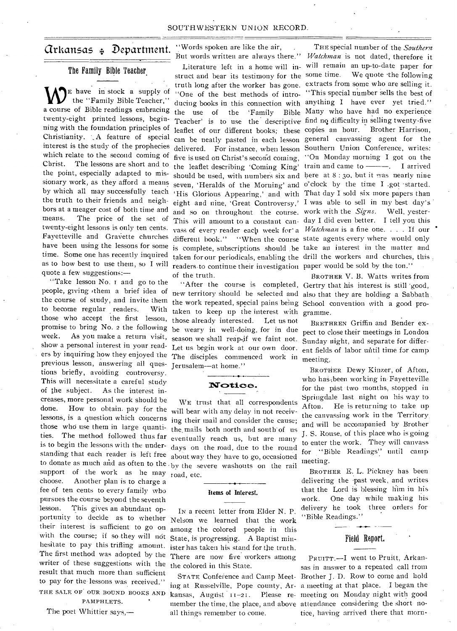## $\alpha$ rkansas  $_{4}$  Department.

#### The Family Bible Teacher,

E have in stock a supply of the "Family Bible Teacher," a course of Bible readings embracing twenty-eight printed lessons, beginning with the foundation principles of Christianity. '.A feature of special interest is the study of the prophecies which relate to the second coming of Christ. The lessons are short and to the point, especially adapted to missionary work, as they afford a means by which all may successfully teach the truth to their friends and neighbors at a meager cost of both time and means. The price of the set of twenty-eight lessons is only ten cents. Fayetteville and Gravette churches have been using the lessons for some time. Some one has recently inquired as to how best to use them, so I will quote a few suggestions:—

"Take lesson No. r and go to the people, giving 'them a brief idea of to become regular readers. With those who accept the first lesson, promise to bring No. 2 the following week. As you make a return visit, show a personal interest in your read ers by inquiring how they enjoyed the The disciples commenced work in meeting, previous lesson, answering all ques- Jerusalem-at home." tions briefly, avoiding controversy. This will necessitate a careful study of the subject. As the interest increases, more personal work should be done. How to obtain, pay for the lessons, is a question which concerns ing their mail and consider the cause; those who use them in large quantities. The method followed thus far eventually reach us, but are many is to begin the lessons with the understanding that each reader is left free about way they have to go, occasioned to donate as much and as often to the  $by$  the severe washouts on the rail support of the work as he may road, etc. choose. Another plan is to charge a fee of ten cents to every family who pursues the course beyond the seventh lesson. This gives an abundant opportunity to decide as to whether their interest is sufficient to go on with the course; if so they will not hesitate to pay this trifling amount. The first method was adopted by the writer of these suggestions with the result that much more than sufficient to pay for the lessons was received." THE SALE OF OUR BOUND BOOKS AND

PAMPHLETS.

The poet Whittier says,—

"Words spoken are like the air, •

struct and bear its testimony for the some time. the use of the the leaflet describing 'Coming King' should be used, with numbers six and here at 8:30, but it was nearly nine seven, 'Heralds of the Morning' and o'clock by the time I .got started. 'His Glorious Appearing,' and with That day I sold six more papers than eight and nine, 'Great Controversy,' I was able to sell in my best day's and so on throughout the course. work with the *Signs.* Well, yester-This will amount to a constant can-day I did even better. I tell you this vass of every reader each week for a *Watchman* is a fine one. . . . If our different book." "When the course state agents every where would only is complete, subscriptions should .be take an interest in the matter and taken for our periodicals, enabling the drill the workers and churches, this readers to continue their investigation paper would be sold by the ton." of the truth.

the course of study, and invite them the work repeated, special pains being School convention with a good protaken to keep up the interest with gramme. those already interested. Let us not season we shall reap.if we faint not. Sunday night, and separate for differ-

## $\mathbf{\textcolor{blue}{Notice.}}$

WE trust that all correspondents will bear with any delay in not receivthe mails both north and south of us days on the road, due to the round

## **Items of Interest.**

IN a recent letter from Elder N. P. Nelson we learned that the work among the colored people in this State, is progressing. A Baptist minister has taken his stand for the truth. There are now five workers among the colored in this State.

kansas, August  $11-21$ . all things remember to come.

But words written are always there." *Watchman* is not dated, therefore it Literature left in a home will in-will remain an up-to-date paper for truth long after the worker has gone. extracts from some who are selling it. "One of the best methods of intro-"This special number sells the best of ducing books in this connection with anything I have ever yet tried." Teacher' is to use the descriptive find no difficulty in selling twenty-five leaflet of our different books; these copies an hour. Brother Harrison, can be neatly pasted in each lesson general canvassing agent for the delivered. For instance, when lesson Southern Union Conference, writes: five is used on Christ's second coming, "On Monday morning I got on the train and came to . I arrived THE special number of the *Southern*  We quote the following 'Family Bible Many who have had no experience

"After the course is completed, Gertry that his interest is still good, new territory should be selected and also that they are holding a Sabbath. BROTHER V. B. Watts writes from

be weary in well-doing, for in due pect to close their meetings in London Let us begin work at our own door. ent fields of labor until time for camp BRETHREN Griffin and Bender ex-

> BROTHER Dewy Kinzer, of Afton, who has been working in Fayetteville. for the past two months, stopped in Springdale last night on his way to Afton. He is returning to take up the canvassing work in the Territory. and will be accompanied by Brother J. S. Rouse, of this place who is going to enter the work. They will canvass for ''Bible Readings': until camp meeting.

BROTHER E. L. Pickney has been delivering the past week, and writes that the Lord is blessing him in his work. One day while making his delivery he took three orders for "Bible Readings."

## Field Report.

STATE Conference and Camp Meet-Brother J. D. Row to come and hold ing at Russelville, Pope county, Ar-a meeting at that place. I began the member the time, the place, and above attendance considering the short no-PRUITT.-I went to Pruitt, Arkansas in answer to a repeated .call from Please re- meeting on Monday night with good tice, having arrived there that morn-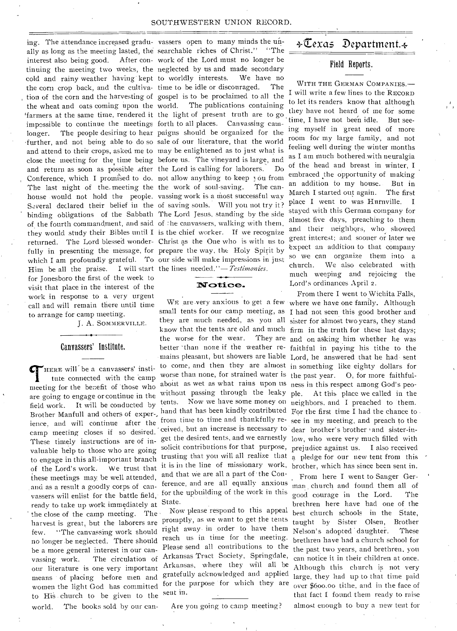#### SOUTHWESTERN UNION RECORD.

ing. The attendance increased gradu- vassers open to many minds the unally as long as the meeting lasted, the searchable riches of Christ." "The interest also being good. After con- work of the Lord must no longer be tinuing the meeting two weeks, the neglected by us and made secondary cold and rainy weather having kept to worldly interests. We have no the corn crop back, and the cultiva- time to be idle or discouraged. The tion of the corn and the harvesting of gospel is to be proclaimed to all the the wheat and oats coming upon the world. The publications containing 'farmers at the same time, rendered it the light of present truth are to go impossible to continue the meetings forth to all places. Canvassing camlonger. The people desiring to hear paigns should be organized for the further, and not being able to do so sale of our literature, that the world and attend to their crops, asked me to may be enlightened as to just what is close the meeting for the time being before us. The vineyard is large, and and return as soon as possible after the Lord is calling for laborers. Do Conference, which I promised to do. not allow anything to keep you from The last night of the meeting the the work of soul-saving. The canhouse would not hold the people. vassing work is a most successful way Several declared their belief in the of saving souls. Will you not try it? binding obligations of the Sabbath The Lord Jesus, standing by the side of the fourth commandment, and said of the canvassers, walking with them, they would study their Bibles until I is the chief worker. If we recognize returned. The Lord blessed wonder- Christ as the One who is with us to fully in presenting the message, for prepare the way, the Holy Spirit by which I am profoundly grateful. To our side will make impressions in just Him be all the praise. I will start the lines needed."— *Testimonies*. for Jonesboro the first of the week to visit that place in the interest of the work in response to a very urgent call and will remain there until time to arrange for camp meeting.

J. A. SOMMERVILLE.

#### Canvassers' Institute.

 $\sigma$  HERE will be a canvassers' institute connected with the camp meeting for the benefit of those who are going to engage or continue in the field work. It will be conducted by Brother Manfull and others of exper-, ience, and will continue after the camp meeting closes if so desired. These timely instructions are of invaluable help to those who are going to engage in this all-important branch of the Lord's work. We trust that these meetings may be well attended, \_and as a result a goodly corps of canvassers will enlist for the battle field, ready to take up work immediately at the close of the camp meeting. The harvest is great, but the laborers are few. "The canvassing work should no longer be neglected. There should be a more general interest in our canvassing work. The circulation of our literature is one very important means of placing before men and women the light God has committed to His church to be given to the world. The books sold by our can-

## Notice.

small tents for our camp meeting, as I had not seen this good brother and they are much needed, as you all sister for almost two years, they stand know that the tents are old and much firm in the truth for these last days; better than none if the weather re- faithful in paying his tithe to the mains pleasant, but showers are liable Lord, he answered that he had sent to come, and then they are almost in something like eighty dollars for worse than none, for strained water is the past year. O, for more faithfulabout as wet as what rains upon us ness in this respect among God's peowithout passing through the leaky ple. At this place we called in the tents. Now we have some money on neighbors, and I preached to them. hand that has been kindly contributed For the first time I had the chance to from time to time and thankfully re-see in my meeting, and preach to the ceived, but an increase is necessary to dear brother's brother and sister-inget the desired tents, and we earnestly low, who were very much filled with solicit contributions for that purpose, prejudice against us. I also received it is in the line of missionary work, brother, which has since been sent in. the worse for the wear. and that ue are all a part of • the Conference, and are all equally anxious for the upbuilding of the work in this State.

Now please respond to this appeal promptly, as we want to get the tents right away. in order to have them reach us in time for the meeting. Please send all contributions to the Arkansas Tract Society, Springdale, Arkansas, where they will all be gratefully acknowledged and applied for the purpose for which they are sent in.

Are you going to camp meeting?

## $\triangle$ Texas Department. $\triangleleft$

#### Field Reports.

WITH THE GERMAN COMPANIES.— I will write a few lines to the RECORD to let its readers know that although they have not heard of me for some time, I have not been idle. But seeing myself in great need of more room for my large family, and not feeling well during the winter months as I am much bothered with neuralgia of the head and breast in winter, I embraced the opportunity of making an addition to my house. But in March I started out again. The first place I went to was Hurnville. I stayed with this German company for almost five days, preaching to thetn and their neighbors, who showed great interest; and sooner or later we expect an addition to that company so we can organize them into a church. We also celebrated with much weeping and rejoicing the Lord's ordinances April 2.

From there I went to Wichita Falls, WE are very anxious to get a few where we have one family. Although They are and on asking him whether he was trusting that you will all realize that a pledge for our new tent from this

> From here I went to Sanger German church and found them all of good courage in the Lord. The brethren here have had one of the best church schools in the State, taught by Sister Olsen, Brother<br>Nelson's adopted daughter. These Nelson's adopted daughter. brethren have had a church school for the past two years, and brethren, you can notice it in their children at once. Although this church is not very large, they had up to that time paid over \$600.00 tithe, and in the face of that fact I found them ready to raise almost enough to buy a new tent for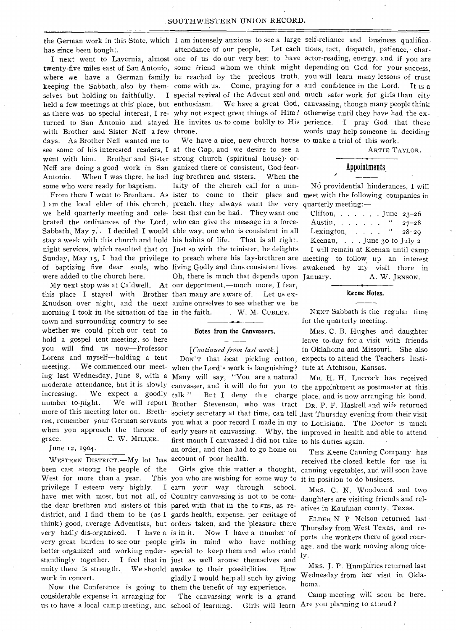has since been bought.

with Brother and Sister Neff a few throne. days. As Brother Neff wanted me to went with him. Brother and Sister strong church (spiritual house) or-Neff are doing a good work in San ganized there of consistent, God-fearsome who were ready for baptism. laity of the chureh call for a min-

were added to the church here.

this place I stayed with Brother than many are aware of. Let us exmorning I took in the situation of the in the faith. town and surrounding country to see whether we could pitch our tent to hold a gospel tent meeting, so here you will find us now—Professor Lorenz and myself—holding a tent grace. C. W. MILLER.

June 12, 1904.

WESTERN DISTRICT. - My lot has account of poor health. been cast among the people of the West for more than a year. have met with most, but not all, of Country canvassing is not to be comthe dear brethren and sisters of this pared with that in the towns, as revery badly dis-organized. work in concert.

Now the Conference is going to them the benefit of my experience. considerable expense in arranging for us to have a local camp meeting, and school of learning. Girls will learn Are you planning to attend ?

the German work in this State, which I am intensely anxious to see a large self-reliance and business qualifica-

see some of his interested readers, I at the Gap, and we desire to see a Antonio. When I was there, he had ing brethren and sisters. When the We have a nice, new church house to make a trial of this work. I am the local elder of this church, preach. they always want the very quarterly meeting:we held quarterly meeting and cele-best that can be had. They want one brated the ordinances of the Lord, who can give the message in a force-Sabbath, May 7. I decided I would able way, one who is consistent in all stay a week with this church and hold his habits of life. That is all right. night services, which resulted that on Just so with the minister, lie delights Sunday, May 15, I had the privilege to preach where his lay-brethren are meeting to follow up an interest of baptizing five dear souls, who living Godly and thus consistent lives. awakened by my visit there in My next stop was at Caldwell. At our deportment,—much more, I fear, Knudson over night, and the next amine ourselves to see whether we be Oh, there is much that depends upon January. W. M. CUBLEY.

#### Notes from the Canvassers.

#### *[Continued from last week.]*

meeting. We commenced our meet-when the Lord's work is languishing? tute at Atchison, Kansas. ing last Wednesday, June 8, with a Many will say, "You are a natural when you approach the throne of early years at canvassing. Why, the improved in health and able to attend first month I canvassed I did not take to his duties again. an order, and then had to go home on

privilege I esteem very highly. I earn your way through school. district, and I find them to be (as I gards health, expense, per centage of think) good, average Adventists, but orders taken, and the pleasure there very great burden to see our people girls in mind who have nothing better organized and working under-special to keep them and who could standingly together. I feel that in just as well arouse themselves and unity there is strength. We should awake to their possibilities. How you who are wishing for some way to it in position to do business. I have a is in it. Now I have a number of gladly I would help all such by giving

The canvassing work is a grand

I next went to Lavernia, almost one of us do our very best to have actor-reading, energy, and if you are twenty-five miles east of San Antonio, some friend whom we think might depending on God for your success, where we have a German family be reached by the precious truth, you will learn many lessons of trust keeping the Sabbath, also by them-come with us. Come, praying for a and confidence in the Lord. It is a selves but holding on faithfully. I special revival of the Advent zeal and much safer work for girls than city held a few meetings at this place, but enthusiasm. We have a great God, canvassing, though many people think as there was no special interest, I re- why not expect great things of Him? otherwise until they have had the exturned to San Antonio and stayed He invites us to come boldly to His perience. I pray God that these attendance of our people, Let each tions, tact, dispatch, patience, charwords may help someone in deciding

ARTIE TAYLOR.

### Appointments,

From there I went to Brenham. As ister to come to their place and meet with the following companies in No providential hinderances, I will

| Clifton, June $23-26$              |  |
|------------------------------------|--|
| Austin, " $27-28$                  |  |
| Lexington, $\ldots$ " $28-29$      |  |
| Keenan, $\ldots$ June 30 to July 2 |  |

I will remain at Keenan until camp A. W. JENSON.

#### Keene Notes.

NEXT Sabbath is the regular time for the quarterly meeting.

DON'T that .beat picking cotton, expects to attend the Teachers Insti-MRS. C. B. Hughes and daughter leave to-day for a visit with friends in Oklahoma and Missouri. She also

moderate attendance, but it is slowly canvasser, and it will do for you to the appointment as postmaster at this. increasing. We expect a goodly talk." But I deny the charge place, and is now arranging his bond. number to-night. We will report Brother Stevenson, who was tract DR. P. F. Haskell and wife returned more of this meeting later on. Breth-society secretary at that time, can tell last Thursday evening from their visit ren, remember your German servants you what a poor record I made in my to Louisiana. The Doctor is much MR. H. H. Luccock has received

> Girls give this matter a thought, canning vegetables, and will soon have THE Keene Canning Company has received the closed kettle for use in

> > MRS. C. N. Woodward and two daughters are visiting friends and relatives in Kaufman county, Texas.

> > ELDER N. P. Nelson returned last Thursday from West Texas, and reports the workers there of good courage, and the work moving along nicely.

> > MRS. J. P. Humphries returned last Wednesday from her visit in Oklahoma.

> > Camp meeting will soon be here.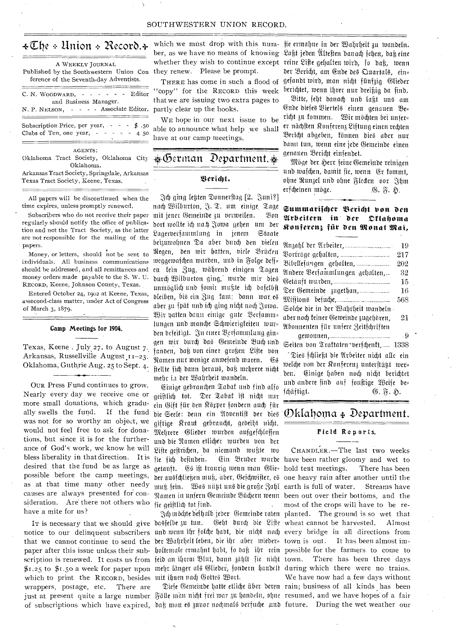## $\texttt{\textless}\boxtimes$  be  $\textcolor{black}{\ast}$  Union  $\textcolor{black}{\ast}$  Record.  $\textcolor{black}{\ast}$

| A WEEKLY JOURNAL<br>Published by the Southwestern Union Con<br>ference of the Seventh-day Adventists.         |
|---------------------------------------------------------------------------------------------------------------|
| C. N. WOODWARD, $- - - - -$ Editor<br>and Business Manager.<br>N. P. NELSON, - - - - Associate Editor.        |
| Subscription Price, per year, - - - \$.50<br>Clubs of Ten, one year, $- - - - 45$                             |
| AGENTS:<br>Oklahoma Tract Society, Oklahoma City<br>Oklahoma.<br>Arkansas Tract Society, Springdale, Arkansas |
| Texas Tract Society, Keene, Texas.                                                                            |

All papers will be discontinued when the time expires, unless promptly renewed.

Subscribers who do not receive their paper regularly should notify the office of publication and not the Tract Society, as the latter are not responsible for the mailing of the papers.

Money, or letters, should not be sent to individuals. All business communications should be addressed, and all remittances and money orders made payable to the S. W. U. RECORD, Keene, Johnson County, Texas.

Entered October 24, 1902 at Keene, Texas, assecond-class matter, under Act of Congress of March 3, 1879.

#### Camp Meetings for 1904.

Texas, Keene . July 27, to August 7. Arkansas, Russellville August<sub>11-23</sub>. Oklahoma, Guthrie Aug. 25 to Sept. 4.

OUR Press Fund continues to grow. Nearly every day we receive one or more small donations, which gradually swells the fund. If the fund was not for so worthy an object, we would not feel free to ask for donations, but since it is for the furtherance of God's work, we know he will bless liberality in that direction. It is desired that the fund be as large as possible before the camp meetings, as at that time many other needy causes are always presented for consideration. Are there not others who have a mite for us?

which to print the RECORD, besides mit ihnen nach Gottes Wort. wrappers, postage, etc. There are of subscriptions which have expired, daß mon es zuvor nochmals berfuche und future. During the wet weather our

they renew. Please be prompt.

THERE has come in such a flood of "copy" for the RECORD this week that we are issuing two extra pages to partly clear up the hooks.

WE hope in our next issue to be able to announce what help we shall have at our camp meetings.

## $\&\,$ German Department. $\&$

#### Serfant.

td) ging re4ten Zonnetftag [2. Y't.trti?] nach Wilburton, J. T. um einige, Tage mit jener Gemeinde zu verweilen. Bon bort moate id) nat soma gehen unt bet 2agetberjammtung in 'cum Staate beizuwohnen Da aber durch den vielen Regen, den wir hatten, viele Brücken meggewafchen wurden, und in Folge deff= en fein Zug, während einigen Tagen burdj Unbutton murbe mit bie*b*  unmöglich und somit mußte ich daselbst bleiben, bis ein Zug kam; dann war es aber zu fpät und ich ging nicht noch Jowa. nit natten bann einige gute ..Berjatnin. , lungen unb mante Setuoietigteiten tour= ben befeitigt. In einer Berfammlung gin= gen wir durch das Gemeinde Buch und fanden, daß von einer großen Liste von Namen nur wenige anwesend waren. (Es ftellte fich dann heraus, daß mehrere nicht mehr in der Wahrheit wandeln.

(H.nige gebrauten Zahat unb finb alto geiftlich tot. Der Tabat ist nicht nur ein Gift für den Körper fondern auch für bie Seele: denn ein Abventift der dies  $\mathcal D$ k ${\mathop{\mathrm{Id}}}$ h ${\mathop{\mathrm{dom}}\nolimits}$   $\ast$   $\mathcal D$ e ${\mathop{\mathrm{partim}}\nolimits}$ ent $\cdots$ giftige Kraut gebraucht, gedeiht nicht. Mehrere Glieder wurden ausgeschlossen und die Namen etlicher wurden von der Liste gestrichen, da niemand wußte wo fie geistlich tot find.

which we must drop with this num- sie ermahne in der Wahrheit zu wandeln. ber, as we have no means of knowing Laßt jeden Ultesten danach sehen, daß eine whether they wish to continue except reine Lifte gehalten wirb, fo daß, wenn der Bericht, am Ende des Quartals, ein= gefanbt mitt), man nidjt fiinf3ig Ofieber berichtet, wenn ihrer nur dreißig da sind.

> Bitte, seht danach unb laßt uns am Ende diefes Biertels einen genauen Be= richt zu kommen. Wir möchten bei unser= er nächsten Konferenz Liftung einen rechten 3eriet)t abgeben, tonnen bieb abet nut balm tun, wenn eine jebe Wenteinbe einen genauen Bericht einfendet.

Möge der Herr feine Gemeinde reinigen und waschen, damit sie, wenn Er kommt, ohne Runzel und ohne Flecten oor Jhm erfcheinen möge. .G. F. H.

#### Summarijcher Bericht von den 21rbeitern in bet Zlialionta Konferenz für den Monat Mai,

| 19                                         |
|--------------------------------------------|
| Borfräge gehalten,<br>217                  |
| Bibellesungen gehalten,<br>202             |
| Andere Berfammlungen gehalten,<br>32       |
| 15                                         |
| Der Gemeinde zugethan,<br>16               |
| 568                                        |
| Solche die in der Wahrheit wandeln -       |
| aber noch teiner Geweinde zugehören,<br>21 |
| Abonnenten für unjere Zeitjchriften        |
| . 9                                        |
| Seiten von Trattaten~verfchentt, 1338      |
| "Dies fchließt die Arbeiter nicht alle ein |
| welche von der Konferenz unterstützt wer=  |
| den. Einige haben noch nicht berichtet     |
| und andere find auf foustige Weife be=     |
|                                            |

fd) $\ddot{\text{a}}$ ftigt.  $\qquad \qquad \qquad \qquad \qquad \qquad \textcircled{1.5.5}.$ 

# **01/60/61fi•Mgr. Zi6.31112.10•1111S314•31.13**

#### Field Reports.

IT is necessary that we should give dasfelbe zu tun. (Seht durch die Lifte wheat cannot be harvested. Almost notice to our delinquent subscribers und wenn ihr folche habt, bie nicht nach every bridge in all directions from that we cannot continue to send the ber Wahrheitleben, die ihr aber mieder= town is out. It has been almost impaper after this issue unless their sub- holtemale ermahnt habt, io daß ihr rein possible for the farmers to come to scription is renewed. It costs us from feid an ihrem Blut, dann 3 hilt fie nicht town. There has been three days \$1.25 to \$1.50 a week for paper upon mehr länger als Glieder, jondern handelt during which there were no trains. just at present quite a large number Fälle man nicht frei war zu handeln, dhne resumed, and we have hopes of a fair fie fich befinden. Ein Bruder wurde have been rather gloomy and wet to getauft. Gs ift traurig wenn man Glie-hold tent meetings. There has been der austäliegen muß, aber, Geiämister, es one heavy rain after another until the muß fein. Bas nüşt uns die große Zahl earth is full of water. Streams have Namen in unfern Gemeinde Büchern wenn been out over their bottoms, and the möchte befhalb jeder Gemeinde raten planted. The ground is so wet that Diese Gemeinde hatte etliche über deren rain; business of all kinds has been CHANDLER.—The last two weeks most of the crops will have to be re-We have now had a. few days without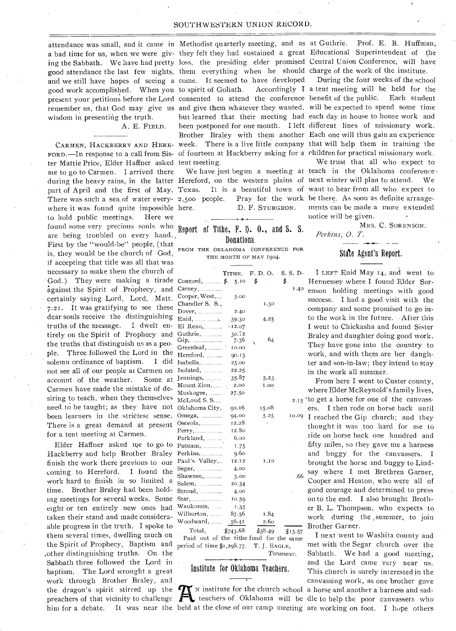attendance was small, and it came in Methodist quarterly meeting, and as a bad time for us, when we were giv- they felt they had sustained a great Educational Superintendent of the good attendance the last few nights, them everything when he should charge of the work of the institute. and we still have hopes of seeing a come. It seemed to have developed good work accomplished. When you to spirit of Goliath. Accordingly I remember us, that God may give us and give them whatever they wanted, will be expected to spend some time wisdom in presenting the truth.

A. E. FIELD.

ter Mattie Price,•Elder Haffner asked tent meeting. me to go to Carmen. I arrived there There was such a sea of water every- 2,500 people. where it was found quite impossible here. to hold public meetings. Here we found some very precious souls who Report of Tithe,  $F. \psi.$  0., and S. S. are being troubled on every hand., First by the "would-be" people, (that is, they would be the church of God, if accepting that title was all that was necessary to make them the church of • God.) They were making a tirade against the Spirit of Prophecy, and certainly saying Lord, Lord, Matt. 7:21. It was gratifying to see these dear souls receive the distinguishing truths of the message. I dwelt entirely on the Spirit of Prophecy and the truths that distinguish us as a people. Three followed the Lord in the solemn ordinance of baptism. I did •not see all of our people at Carmen on account of the weather. Some at Carmen have made the mistake of desiring to teach, when they themselves need to be taught; as they have not been learners in the strictest sense. There is a great demand at present for a tent meeting at Carmen.

the Spirit of Prophecy, Baptism and  $\frac{1}{\text{period of time $1,298.77.}}$  T. J. EAGLE, Elder Haffner asked me to go to Hackberry and help Brother Braley finish the work there previous to our coming to Hereford. I found the work hard to finish in so limited a time. Brother Braley had been holding meetings for several weeks. Some eight or ten entirely new ones had taken their stand and made consideraable progress in the truth. I spoke to them several times, dwelling much on .other distinguishing truths. On the Sabbath three followed the Lord in baptism. The Lord wrought a great work through Brother Braley, and the dragon's spirit stirred up the preachers of that vicinity to challenge  $\mathbf{\hat{M}}$ 

ing the Sabbath. We have had pretty loss, the presiding elder promised Central Union Conference, will have present your petitions before the Lord consented to attend the conference benefit of the public. Each student CARMEN, HACKBERRY AND HERE- week. There is a live little company that will help them in training the FORD.—In response to a call from Sis- of fourteen at Hackberry asking for a children for practical missionary work. but learned that their meeting had each day in house to house work and been postponed for one month. I left different lines of missionary work. Brother Braley with them another Each one will thus gain an experience

D. F. STURGEON.

## Donation.

FROM THE OKLAHOMA CONFERENCE FOR THE MONTH OF MAY 1904.

|                  | TITHE.      | F.D.O.      | S. S. D. |  |  |
|------------------|-------------|-------------|----------|--|--|
| Contord,         | \$.<br>5.10 | \$          | \$       |  |  |
| $Carney, \ldots$ |             |             | 1.40     |  |  |
| Cooper, West,    | 5.00        |             |          |  |  |
| Chandler S. S.,  |             | 1.50        |          |  |  |
| Dover, $\ldots$  | 2.40        |             |          |  |  |
|                  | 39.30       | 4.25        |          |  |  |
| $E1$ Reno,       | $-12.07$    |             |          |  |  |
| Guthrie,         | 30.72       |             |          |  |  |
| Gip,<br>.        | 7.36        | 64          |          |  |  |
| Greenleaf,       | 10.00       |             |          |  |  |
| Hereford,        | 90.15       |             |          |  |  |
| Isabella,        | 25.00       |             |          |  |  |
| Isolated,        | 22.25       |             |          |  |  |
| Jennings,        | 35.87       | 5.23        |          |  |  |
| Mount Zion,      | 2.00        | <b>1.00</b> |          |  |  |
| Muskogee,        | 27.50       |             |          |  |  |
| McLoud S. S      |             |             | 2.15     |  |  |
| Oklahoma City,   | 90.16       | 15.08       |          |  |  |
| Omega,           | 94.00       | 5.25        | 10.09    |  |  |
| Osceola,         | 12.28       |             |          |  |  |
|                  | 12.80       |             |          |  |  |
| Parkland,        | 6,00        |             |          |  |  |
| Putnam,          | 1.75        |             |          |  |  |
| Perkins,         | 9.60        |             |          |  |  |
| Paul's Valley,   | 12.12       | 1.10        |          |  |  |
| Seger,           | 4.00        |             |          |  |  |
| Shawnee,         | 3.00        |             | .66      |  |  |
| Salem,           | 20.34       |             |          |  |  |
| Stroud, …………     | 4.00        |             |          |  |  |
| Star,            | 10.59       |             |          |  |  |
| Waukomis, ……     | 1.35        |             |          |  |  |
| Wilburton,       | 87.56       | 1.84        |          |  |  |
| Woodward,        | 56.41       | 2.60        |          |  |  |

Total,  $$743.68$   $$38.49$   $$13.57$ Paid out of the tithe fund for the same *Treasurer.* 

#### Institute for Oklahoma Teachers.

him for a debate. It was near the held at the close of our camp meeting are working on foot. I hope others

Prof. E. B. Huffman,

During the four weeks of the school Accordingly I a tent meeting will be held for the

during the heavy rains, in the latter Hereford, on the western plains of next winter will plan to attend. We part of April and the first of May. Texas. It is a beautiful town of want to hear from all who expect to We trust that all who expect to We have just begun a meeting at teach in the Oklahoma conference . 2,500 people. Pray for the work be there. As soon as definite arrangements can be made a more extended notice will be given.

MRS. C. SORENSON.

Perkins, 0. T.

#### State Agent's Report.

I LEFT Enid May 14, and went to Hennessey where I found Elder Sor-<sup>40</sup> enson holding meetings with good success. I had a good visit with the company and some promised to go into the work in the future. -After this I went to Chickasha and found Sister Braley and daughter doing good work. They have gone into the country to work, and with them are her daughter and son-in-law; they intend to stay in the work all summer.

From here I went to Custer county, where Elder McReynold's family lives,  $<sub>15</sub>$  'to get a horse for one of the canvass-</sub> ers. I then rode on horse back until 5.25 10.09 I reached the Gip church; and they thought it was too hard for me to ride on horse back one hundred and fifty miles, so they gave me a harness and buggy for the canvassers. I brought the horse and buggy to Lind- .66 say where I met Brethren Garner, Cooper and Heaton, who were all of good courage and determined to press on to the end. I also brought Brother B. L. Thompson, who expects to work during the , summer, to join Brother Garner.

We institute for the church school a horse and another a harness and sad-<br>teachers of Oklahoma will be dle to help the poor canvassers who N institute for the church school a horse and another a harness and sad-I next went to Washita county and met with the Segar church over the Sabbath. We had a good meeting, and the Lord came very near us. This church is surely interested in the canvassing work, as one brother gave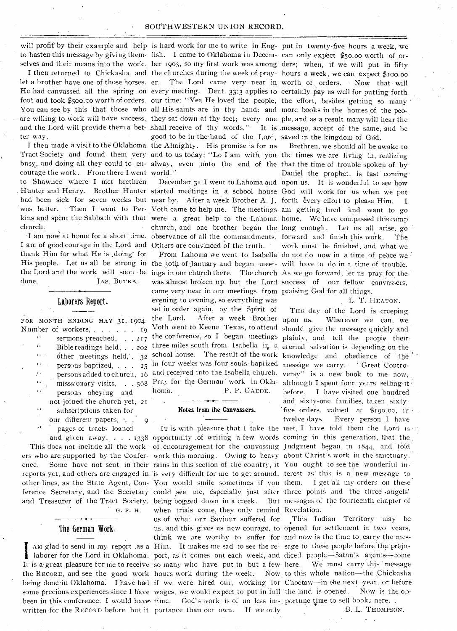#### SOUTHWESTERN UNION RECORD.

will profit by their example and help is hard work for me to write in Eng- put in twenty-five hours a week, we to hasten this message by giving them-lish. I came to Oklahoma in Decem- can only expect \$50.00 worth of or-

ter way.

courage the work. From there I went world." to Shawnee where I met brethren church.

I am of good courage in the Lord and Others are convinced of the truth. thank Him for what He is ,doing\* for done. JAs. BUTKA.

Laborers Report.

FOR MONTH ENDING MAY 31, 1904. Number of workers, . . . . . . 19 sermons preached, . . . 217  $\epsilon$ Bible readings held, . . 202  $\alpha$ . other meetings held,  $32$  $\epsilon$ persons baptized, . . 15  $\ddot{\phantom{a}}$ persons added to church, 16  $\alpha$  $\bar{\mathbf{c}}$  ( persons obeying and not joined the church yet, 21 subscriptions taken for our different papers,  $\cdot$   $\cdot$   $\cdot$  9  $\alpha$ pages of tracts loaned

ers who are supported by the Confer- work this morning. Owing to heavy about Christ's work in the sanctuary. other lines, as the State Agent, Con- You would smile sometimes if you them. I get all my orders on these ference Secretary, and the Secretary could see me, especially just after three points and the three angels' and Treasurer of the Tract Society, being bogged down in a creek. But G. F. H.

#### The German Work,

It is a great pleasure for me to receive so many who have put in but a few here. We must carry this message the RECORD, and see the good work hours work during the week. Now to this whole nation-the Chickasha being done in Oklahoma. I have had if we were hired out, working for Choctaw-in the next year, or before some precious experiences since I have wages, we would expect to put in full the land is opened. Now is the opbeen in this conference. I would have time. God's work is of no less im- portune time to sell book; nere... written for the RECORD before but it portance than our own. If we only

selves and their means into the work. ber 1903, so my first work was among ders; when, if we will put in fifty I then returned to Chickasha and the churches during the week of pray- hours a week, we can expect \$100.00 let a brother have one of those horses. er. The Lord came very near in worth of orders. Now that will He had canvassed all the spring on every meeting. Deut. 33:3 applies to certainly pay us well for putting forth foot and took \$500.00 worth of orders. our time: "Yea He loved the people, the effort, besides getting so many You can see by this that those who all His saints are in thy hand: and more books in the homes of the peoare willing to work will have success, they sat down at thy feet; every one ple, and as a result many will hear the and the Lord will provide them a bet- shall receive of thy words." It is message, accept of the same, and be good to be in the hand of the Lord, saved in the kingdom of God. Tract Society and found them very and to us today; "Lo I am with you the times we are living in, realizing busy, and doing all they could to en- alway, even unto the end of the that the time of trouble spoken of by I then made a visit to the Oklahoma the Almighty. His promise is for us

Hunter and Henry. Brother Hunter started meetings in a school house God will work for us when we put had been sick for seven weeks but near by. After a week Brother A. J. forth every effort to please Him. I was better. Then I went to Per-Voth came to help me. The meetings am getting tired and want to go kins and spent the Sabbath with that were a great help to the Lahoma home. We have compassed this camp church, and one brother began the long enough. Let us all arise, go I am now at home for a short time. observance of all the commandments. forward and finish this work. The

His people. Let us all be strong in the 30th of January and began meet-will have to do in a time of trouble. the Lord and the work will soon be ings in our church there. The church As we go forward, let us pray for the was almost broken up, but the Lord success of our fellow canvassers, came very near in our meetings from praising God for all things. the Lord. After a week Brother upon us. Wherever we can, we Voth went to Keene, Texas, to attend should give the message quickly and the conference, so I began meetings plainly, and tell the people their three miles south from Isabella in a eternal salvation is depending on the school house. The result of the work knowledge and obedience of the in four weeks was four souls baptized message we carry. "Great Controand received into the Isabella church. versy" is a new book to me now, misssionary visits, . . . 568 Pray for the German' work in Okla- although I spent four years evening to evening, so everything was set in order again, by the Spirit of homa. P. P. GAEDE.

laborer for the Lord in Oklahoma. port, as it comes out each week, and diced people-Satan's agents--come AM glad to send in my report as a Him. It makes me sad to see the re- sage to these people before the prejuwhen trials come, they only remind Revelation. .us of what our Saviour suffered for us, and this gives us new courage, to opened for settlement in two years, think we are worthy to suffer for and now is the time to. carry the mes-

Brethren, we should all be awake to Daniel the prophet, is fast coming December 31 I went to Lahoma and upon us. It is wonderful to see how work must be finished, and what we From Lahoma we went to Isabella do not do now in a time of peace we

#### L. T. HEATON.

THE day of the Lord is creeping before. I have visited one hundred and sixty-one families, taken sixty-Notes from the Canvassers. **Five orders**, valued at \$190.00, in • twelve days. Every person I have IT is with pleasure that I take the met, I have told them the Lord is and given away, . . . 1338 opportunity of writing a few words coming in this generation, that the This does not include all the work-of .encouragement for the canvassing Judgment began in 1844, and told ence. Some have not sent in their rains in this section of the country, it You ought to see the wonderful inreports yet, and others are engaged in 'is very difficult for me to get around. terest as this is a new message to But messages of the fourteenth chapter of

This Indian Territory may be

B. L. THOMPSON.